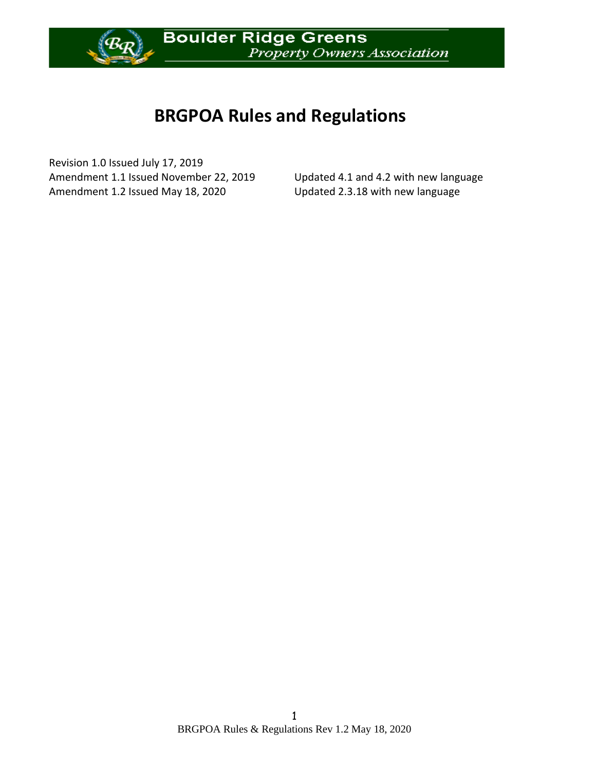

# **BRGPOA Rules and Regulations**

Revision 1.0 Issued July 17, 2019 Amendment 1.1 Issued November 22, 2019 Updated 4.1 and 4.2 with new language Amendment 1.2 Issued May 18, 2020 Updated 2.3.18 with new language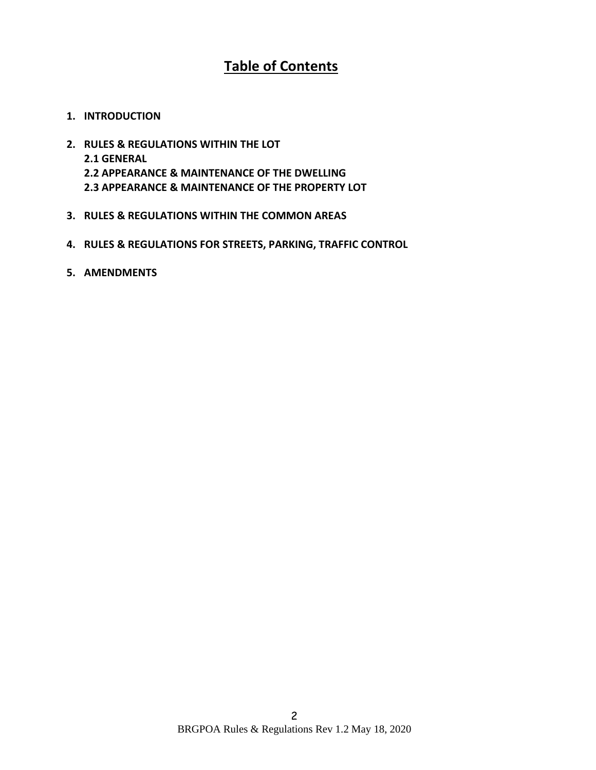# **Table of Contents**

- **1. INTRODUCTION**
- **2. RULES & REGULATIONS WITHIN THE LOT 2.1 GENERAL 2.2 APPEARANCE & MAINTENANCE OF THE DWELLING 2.3 APPEARANCE & MAINTENANCE OF THE PROPERTY LOT**
- **3. RULES & REGULATIONS WITHIN THE COMMON AREAS**
- **4. RULES & REGULATIONS FOR STREETS, PARKING, TRAFFIC CONTROL**
- **5. AMENDMENTS**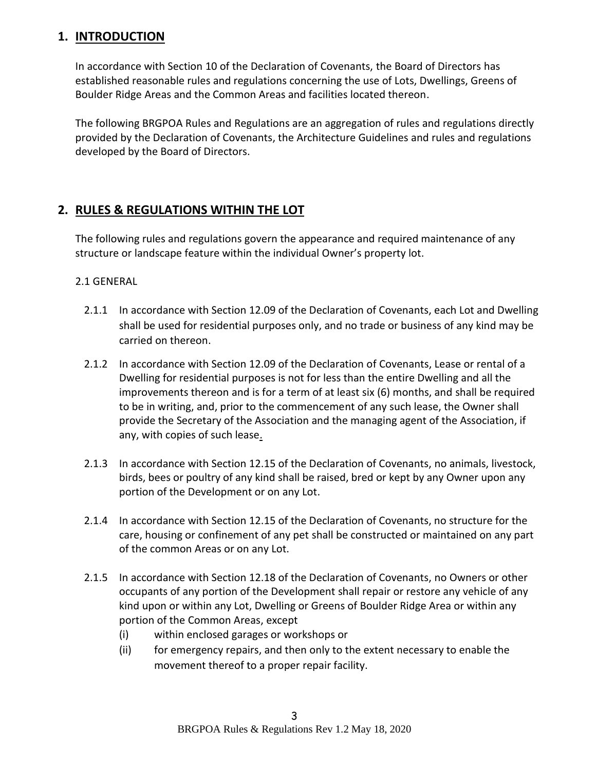## **1. INTRODUCTION**

In accordance with Section 10 of the Declaration of Covenants, the Board of Directors has established reasonable rules and regulations concerning the use of Lots, Dwellings, Greens of Boulder Ridge Areas and the Common Areas and facilities located thereon.

The following BRGPOA Rules and Regulations are an aggregation of rules and regulations directly provided by the Declaration of Covenants, the Architecture Guidelines and rules and regulations developed by the Board of Directors.

# **2. RULES & REGULATIONS WITHIN THE LOT**

The following rules and regulations govern the appearance and required maintenance of any structure or landscape feature within the individual Owner's property lot.

#### 2.1 GENERAL

- 2.1.1 In accordance with Section 12.09 of the Declaration of Covenants, each Lot and Dwelling shall be used for residential purposes only, and no trade or business of any kind may be carried on thereon.
- 2.1.2 In accordance with Section 12.09 of the Declaration of Covenants, Lease or rental of a Dwelling for residential purposes is not for less than the entire Dwelling and all the improvements thereon and is for a term of at least six (6) months, and shall be required to be in writing, and, prior to the commencement of any such lease, the Owner shall provide the Secretary of the Association and the managing agent of the Association, if any, with copies of such lease.
- 2.1.3 In accordance with Section 12.15 of the Declaration of Covenants, no animals, livestock, birds, bees or poultry of any kind shall be raised, bred or kept by any Owner upon any portion of the Development or on any Lot.
- 2.1.4 In accordance with Section 12.15 of the Declaration of Covenants, no structure for the care, housing or confinement of any pet shall be constructed or maintained on any part of the common Areas or on any Lot.
- 2.1.5 In accordance with Section 12.18 of the Declaration of Covenants, no Owners or other occupants of any portion of the Development shall repair or restore any vehicle of any kind upon or within any Lot, Dwelling or Greens of Boulder Ridge Area or within any portion of the Common Areas, except
	- (i) within enclosed garages or workshops or
	- (ii) for emergency repairs, and then only to the extent necessary to enable the movement thereof to a proper repair facility.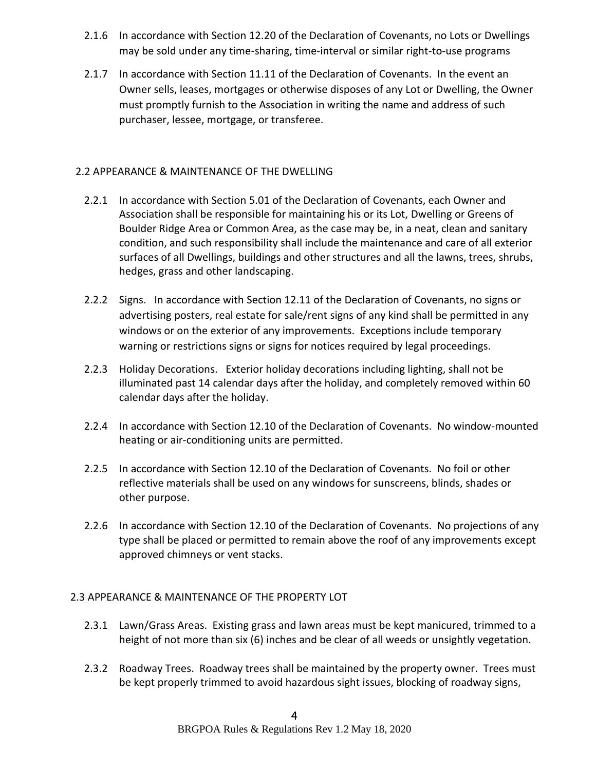- 2.1.6 In accordance with Section 12.20 of the Declaration of Covenants, no Lots or Dwellings may be sold under any time-sharing, time-interval or similar right-to-use programs
- 2.1.7 In accordance with Section 11.11 of the Declaration of Covenants. In the event an Owner sells, leases, mortgages or otherwise disposes of any Lot or Dwelling, the Owner must promptly furnish to the Association in writing the name and address of such purchaser, lessee, mortgage, or transferee.

#### 2.2 APPEARANCE & MAINTENANCE OF THE DWELLING

- 2.2.1 In accordance with Section 5.01 of the Declaration of Covenants, each Owner and Association shall be responsible for maintaining his or its Lot, Dwelling or Greens of Boulder Ridge Area or Common Area, as the case may be, in a neat, clean and sanitary condition, and such responsibility shall include the maintenance and care of all exterior surfaces of all Dwellings, buildings and other structures and all the lawns, trees, shrubs, hedges, grass and other landscaping.
- 2.2.2 Signs. In accordance with Section 12.11 of the Declaration of Covenants, no signs or advertising posters, real estate for sale/rent signs of any kind shall be permitted in any windows or on the exterior of any improvements. Exceptions include temporary warning or restrictions signs or signs for notices required by legal proceedings.
- 2.2.3 Holiday Decorations. Exterior holiday decorations including lighting, shall not be illuminated past 14 calendar days after the holiday, and completely removed within 60 calendar days after the holiday.
- 2.2.4 In accordance with Section 12.10 of the Declaration of Covenants. No window-mounted heating or air-conditioning units are permitted.
- 2.2.5 In accordance with Section 12.10 of the Declaration of Covenants. No foil or other reflective materials shall be used on any windows for sunscreens, blinds, shades or other purpose.
- 2.2.6 In accordance with Section 12.10 of the Declaration of Covenants. No projections of any type shall be placed or permitted to remain above the roof of any improvements except approved chimneys or vent stacks.

#### 2.3 APPEARANCE & MAINTENANCE OF THE PROPERTY LOT

- 2.3.1 Lawn/Grass Areas. Existing grass and lawn areas must be kept manicured, trimmed to a height of not more than six (6) inches and be clear of all weeds or unsightly vegetation.
- 2.3.2 Roadway Trees. Roadway trees shall be maintained by the property owner. Trees must be kept properly trimmed to avoid hazardous sight issues, blocking of roadway signs,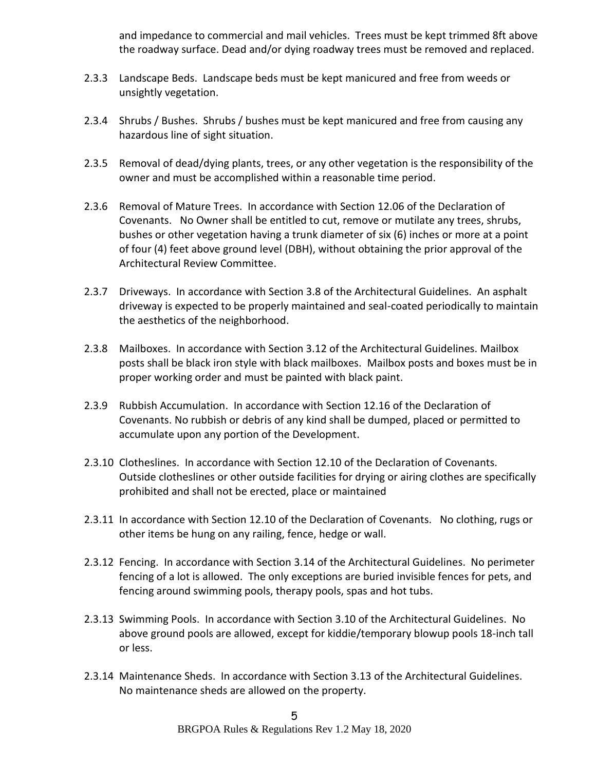and impedance to commercial and mail vehicles. Trees must be kept trimmed 8ft above the roadway surface. Dead and/or dying roadway trees must be removed and replaced.

- 2.3.3 Landscape Beds. Landscape beds must be kept manicured and free from weeds or unsightly vegetation.
- 2.3.4 Shrubs / Bushes. Shrubs / bushes must be kept manicured and free from causing any hazardous line of sight situation.
- 2.3.5 Removal of dead/dying plants, trees, or any other vegetation is the responsibility of the owner and must be accomplished within a reasonable time period.
- 2.3.6 Removal of Mature Trees. In accordance with Section 12.06 of the Declaration of Covenants. No Owner shall be entitled to cut, remove or mutilate any trees, shrubs, bushes or other vegetation having a trunk diameter of six (6) inches or more at a point of four (4) feet above ground level (DBH), without obtaining the prior approval of the Architectural Review Committee.
- 2.3.7 Driveways. In accordance with Section 3.8 of the Architectural Guidelines. An asphalt driveway is expected to be properly maintained and seal-coated periodically to maintain the aesthetics of the neighborhood.
- 2.3.8 Mailboxes. In accordance with Section 3.12 of the Architectural Guidelines. Mailbox posts shall be black iron style with black mailboxes. Mailbox posts and boxes must be in proper working order and must be painted with black paint.
- 2.3.9 Rubbish Accumulation. In accordance with Section 12.16 of the Declaration of Covenants. No rubbish or debris of any kind shall be dumped, placed or permitted to accumulate upon any portion of the Development.
- 2.3.10 Clotheslines. In accordance with Section 12.10 of the Declaration of Covenants. Outside clotheslines or other outside facilities for drying or airing clothes are specifically prohibited and shall not be erected, place or maintained
- 2.3.11 In accordance with Section 12.10 of the Declaration of Covenants. No clothing, rugs or other items be hung on any railing, fence, hedge or wall.
- 2.3.12 Fencing. In accordance with Section 3.14 of the Architectural Guidelines. No perimeter fencing of a lot is allowed. The only exceptions are buried invisible fences for pets, and fencing around swimming pools, therapy pools, spas and hot tubs.
- 2.3.13 Swimming Pools. In accordance with Section 3.10 of the Architectural Guidelines. No above ground pools are allowed, except for kiddie/temporary blowup pools 18-inch tall or less.
- 2.3.14 Maintenance Sheds. In accordance with Section 3.13 of the Architectural Guidelines. No maintenance sheds are allowed on the property.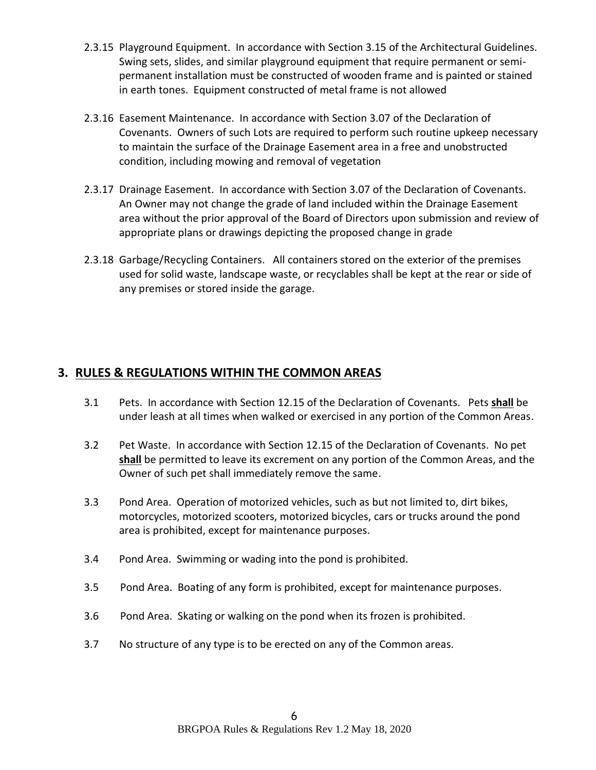- 2.3.15 Playground Equipment. In accordance with Section 3.15 of the Architectural Guidelines. Swing sets, slides, and similar playground equipment that require permanent or semipermanent installation must be constructed of wooden frame and is painted or stained in earth tones. Equipment constructed of metal frame is not allowed
- 2.3.16 Easement Maintenance. In accordance with Section 3.07 of the Declaration of Covenants. Owners of such Lots are required to perform such routine upkeep necessary to maintain the surface of the Drainage Easement area in a free and unobstructed condition, including mowing and removal of vegetation
- 2.3.17 Drainage Easement. In accordance with Section 3.07 of the Declaration of Covenants. An Owner may not change the grade of land included within the Drainage Easement area without the prior approval of the Board of Directors upon submission and review of appropriate plans or drawings depicting the proposed change in grade
- 2.3.18 Garbage/Recycling Containers. All containers stored on the exterior of the premises used for solid waste, landscape waste, or recyclables shall be kept at the rear or side of any premises or stored inside the garage.

# **3. RULES & REGULATIONS WITHIN THE COMMON AREAS**

- 3.1 Pets. In accordance with Section 12.15 of the Declaration of Covenants. Pets **shall** be under leash at all times when walked or exercised in any portion of the Common Areas.
- 3.2 Pet Waste. In accordance with Section 12.15 of the Declaration of Covenants. No pet **shall** be permitted to leave its excrement on any portion of the Common Areas, and the Owner of such pet shall immediately remove the same.
- 3.3 Pond Area. Operation of motorized vehicles, such as but not limited to, dirt bikes, motorcycles, motorized scooters, motorized bicycles, cars or trucks around the pond area is prohibited, except for maintenance purposes.
- 3.4 Pond Area. Swimming or wading into the pond is prohibited.
- 3.5 Pond Area. Boating of any form is prohibited, except for maintenance purposes.
- 3.6 Pond Area. Skating or walking on the pond when its frozen is prohibited.
- 3.7 No structure of any type is to be erected on any of the Common areas.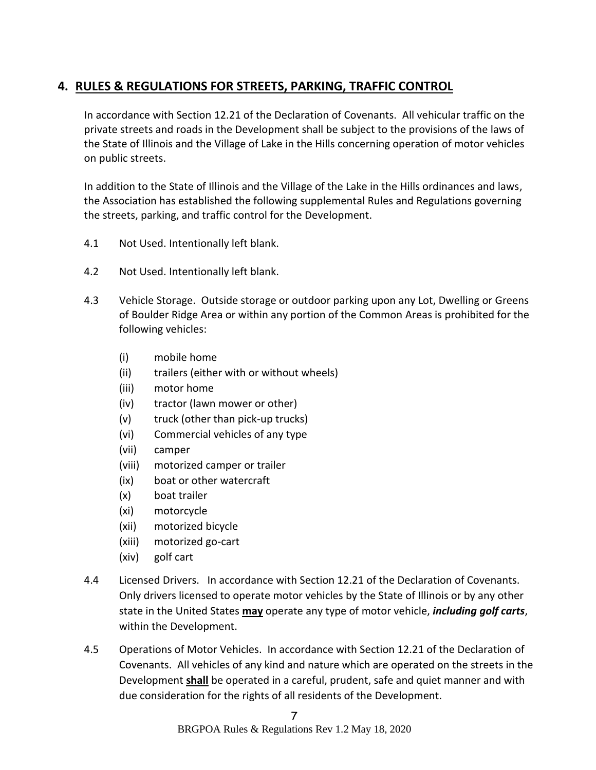# **4. RULES & REGULATIONS FOR STREETS, PARKING, TRAFFIC CONTROL**

In accordance with Section 12.21 of the Declaration of Covenants. All vehicular traffic on the private streets and roads in the Development shall be subject to the provisions of the laws of the State of Illinois and the Village of Lake in the Hills concerning operation of motor vehicles on public streets.

In addition to the State of Illinois and the Village of the Lake in the Hills ordinances and laws, the Association has established the following supplemental Rules and Regulations governing the streets, parking, and traffic control for the Development.

- 4.1 Not Used. Intentionally left blank.
- 4.2 Not Used. Intentionally left blank.
- 4.3 Vehicle Storage. Outside storage or outdoor parking upon any Lot, Dwelling or Greens of Boulder Ridge Area or within any portion of the Common Areas is prohibited for the following vehicles:
	- (i) mobile home
	- (ii) trailers (either with or without wheels)
	- (iii) motor home
	- (iv) tractor (lawn mower or other)
	- (v) truck (other than pick-up trucks)
	- (vi) Commercial vehicles of any type
	- (vii) camper
	- (viii) motorized camper or trailer
	- (ix) boat or other watercraft
	- (x) boat trailer
	- (xi) motorcycle
	- (xii) motorized bicycle
	- (xiii) motorized go-cart
	- (xiv) golf cart
- 4.4 Licensed Drivers. In accordance with Section 12.21 of the Declaration of Covenants. Only drivers licensed to operate motor vehicles by the State of Illinois or by any other state in the United States **may** operate any type of motor vehicle, *including golf carts*, within the Development.
- 4.5 Operations of Motor Vehicles. In accordance with Section 12.21 of the Declaration of Covenants. All vehicles of any kind and nature which are operated on the streets in the Development **shall** be operated in a careful, prudent, safe and quiet manner and with due consideration for the rights of all residents of the Development.